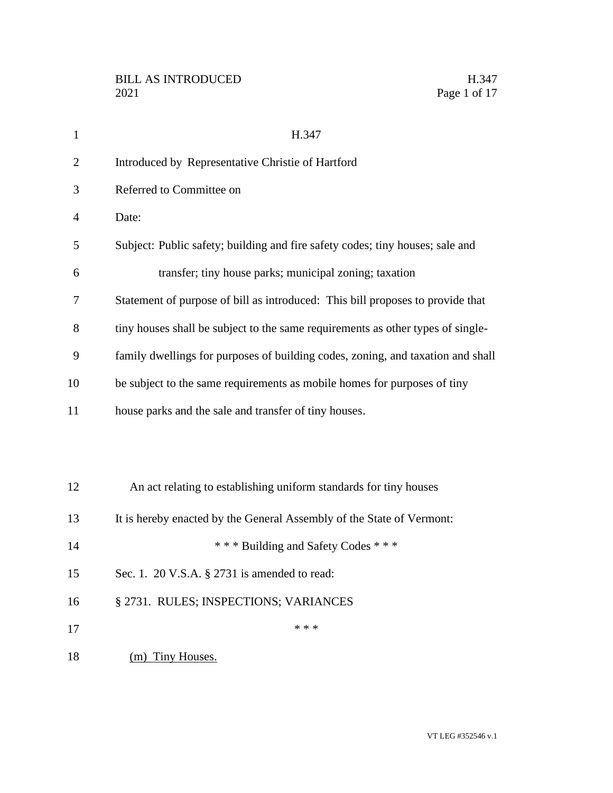| $\mathbf{1}$   | H.347                                                                           |
|----------------|---------------------------------------------------------------------------------|
| $\overline{2}$ | Introduced by Representative Christie of Hartford                               |
| 3              | Referred to Committee on                                                        |
| 4              | Date:                                                                           |
| 5              | Subject: Public safety; building and fire safety codes; tiny houses; sale and   |
| 6              | transfer; tiny house parks; municipal zoning; taxation                          |
| 7              | Statement of purpose of bill as introduced: This bill proposes to provide that  |
| 8              | tiny houses shall be subject to the same requirements as other types of single- |
| 9              | family dwellings for purposes of building codes, zoning, and taxation and shall |
| 10             | be subject to the same requirements as mobile homes for purposes of tiny        |
| 11             | house parks and the sale and transfer of tiny houses.                           |
|                |                                                                                 |
|                |                                                                                 |
| 12             | An act relating to establishing uniform standards for tiny houses               |
| 13             | It is hereby enacted by the General Assembly of the State of Vermont:           |
| 14             | *** Building and Safety Codes ***                                               |
| 15             | Sec. 1. 20 V.S.A. § 2731 is amended to read:                                    |
| 16             | § 2731. RULES; INSPECTIONS; VARIANCES                                           |
| 17             | * * *                                                                           |
| 18             | <b>Tiny Houses.</b><br>(m)                                                      |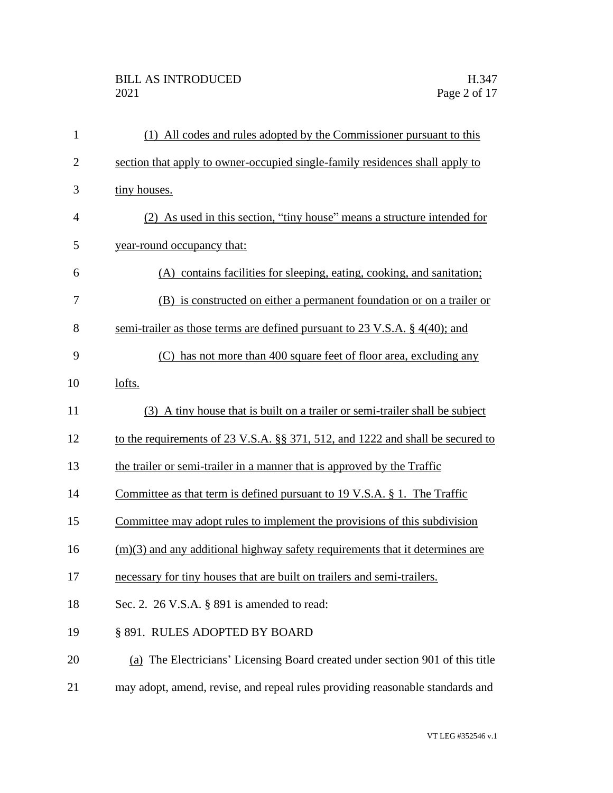## BILL AS INTRODUCED H.347<br>2021 Page 2 of 17

| $\mathbf{1}$   | (1) All codes and rules adopted by the Commissioner pursuant to this           |
|----------------|--------------------------------------------------------------------------------|
| $\overline{2}$ | section that apply to owner-occupied single-family residences shall apply to   |
| 3              | tiny houses.                                                                   |
| $\overline{4}$ | (2) As used in this section, "tiny house" means a structure intended for       |
| 5              | year-round occupancy that:                                                     |
| 6              | (A) contains facilities for sleeping, eating, cooking, and sanitation;         |
| 7              | (B) is constructed on either a permanent foundation or on a trailer or         |
| 8              | semi-trailer as those terms are defined pursuant to 23 V.S.A. $\S$ 4(40); and  |
| 9              | (C) has not more than 400 square feet of floor area, excluding any             |
| 10             | lofts.                                                                         |
| 11             | (3) A tiny house that is built on a trailer or semi-trailer shall be subject   |
| 12             | to the requirements of 23 V.S.A. §§ 371, 512, and 1222 and shall be secured to |
| 13             | the trailer or semi-trailer in a manner that is approved by the Traffic        |
| 14             | Committee as that term is defined pursuant to 19 V.S.A. $\S$ 1. The Traffic    |
| 15             | Committee may adopt rules to implement the provisions of this subdivision      |
| 16             | $(m)(3)$ and any additional highway safety requirements that it determines are |
| 17             | necessary for tiny houses that are built on trailers and semi-trailers.        |
| 18             | Sec. 2. 26 V.S.A. § 891 is amended to read:                                    |
| 19             | § 891. RULES ADOPTED BY BOARD                                                  |
| 20             | (a) The Electricians' Licensing Board created under section 901 of this title  |
| 21             | may adopt, amend, revise, and repeal rules providing reasonable standards and  |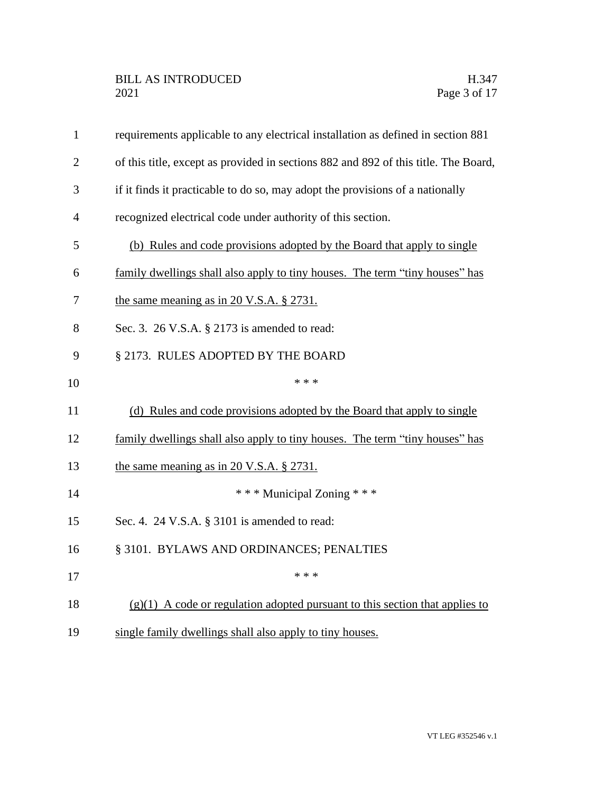| $\mathbf{1}$   | requirements applicable to any electrical installation as defined in section 881    |
|----------------|-------------------------------------------------------------------------------------|
| $\overline{2}$ | of this title, except as provided in sections 882 and 892 of this title. The Board, |
| 3              | if it finds it practicable to do so, may adopt the provisions of a nationally       |
| $\overline{4}$ | recognized electrical code under authority of this section.                         |
| 5              | (b) Rules and code provisions adopted by the Board that apply to single             |
| 6              | family dwellings shall also apply to tiny houses. The term "tiny houses" has        |
| 7              | the same meaning as in 20 V.S.A. $\S$ 2731.                                         |
| 8              | Sec. 3. 26 V.S.A. § 2173 is amended to read:                                        |
| 9              | § 2173. RULES ADOPTED BY THE BOARD                                                  |
| 10             | * * *                                                                               |
| 11             | (d) Rules and code provisions adopted by the Board that apply to single             |
| 12             | family dwellings shall also apply to tiny houses. The term "tiny houses" has        |
| 13             | the same meaning as in 20 V.S.A. $\S 2731$ .                                        |
| 14             | *** Municipal Zoning ***                                                            |
| 15             | Sec. 4. 24 V.S.A. § 3101 is amended to read:                                        |
| 16             | § 3101. BYLAWS AND ORDINANCES; PENALTIES                                            |
| 17             | * * *                                                                               |
| 18             | $(g)(1)$ A code or regulation adopted pursuant to this section that applies to      |
| 19             | single family dwellings shall also apply to tiny houses.                            |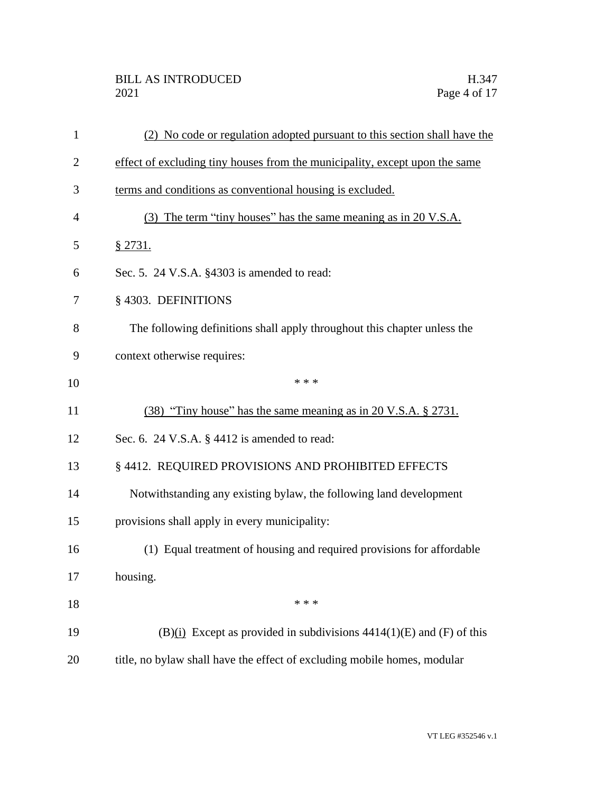| 1              | (2) No code or regulation adopted pursuant to this section shall have the   |
|----------------|-----------------------------------------------------------------------------|
| $\overline{c}$ | effect of excluding tiny houses from the municipality, except upon the same |
| 3              | terms and conditions as conventional housing is excluded.                   |
| 4              | (3) The term "tiny houses" has the same meaning as in 20 V.S.A.             |
| 5              | § 2731.                                                                     |
| 6              | Sec. 5. 24 V.S.A. §4303 is amended to read:                                 |
| 7              | §4303. DEFINITIONS                                                          |
| 8              | The following definitions shall apply throughout this chapter unless the    |
| 9              | context otherwise requires:                                                 |
| 10             | * * *                                                                       |
| 11             | (38) "Tiny house" has the same meaning as in 20 V.S.A. § 2731.              |
| 12             | Sec. 6. 24 V.S.A. $\S$ 4412 is amended to read:                             |
| 13             | § 4412. REQUIRED PROVISIONS AND PROHIBITED EFFECTS                          |
| 14             | Notwithstanding any existing bylaw, the following land development          |
| 15             | provisions shall apply in every municipality:                               |
| 16             | (1) Equal treatment of housing and required provisions for affordable       |
| 17             | housing.                                                                    |
| 18             | * * *                                                                       |
| 19             | $(B)(i)$ Except as provided in subdivisions 4414(1)(E) and (F) of this      |
| 20             | title, no bylaw shall have the effect of excluding mobile homes, modular    |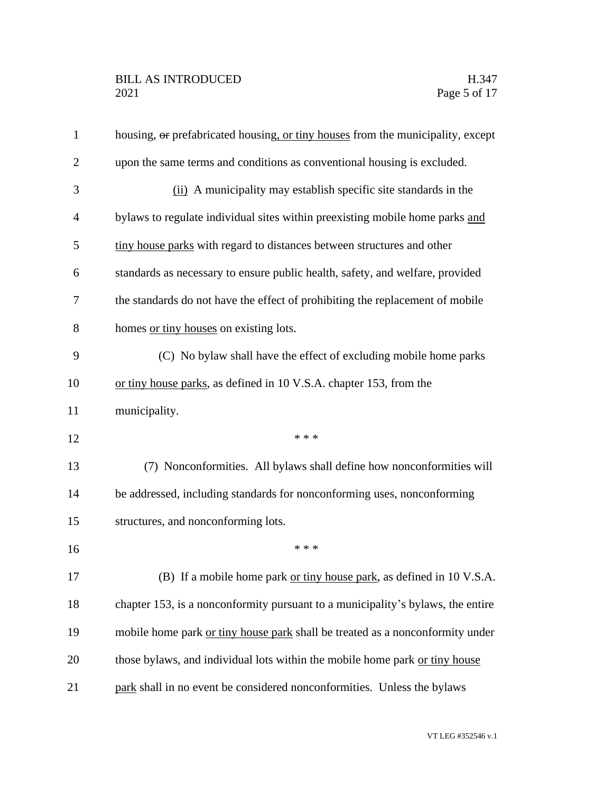| $\mathbf{1}$   | housing, or prefabricated housing, or tiny houses from the municipality, except |
|----------------|---------------------------------------------------------------------------------|
| $\overline{2}$ | upon the same terms and conditions as conventional housing is excluded.         |
| 3              | (ii) A municipality may establish specific site standards in the                |
| $\overline{4}$ | bylaws to regulate individual sites within preexisting mobile home parks and    |
| 5              | tiny house parks with regard to distances between structures and other          |
| 6              | standards as necessary to ensure public health, safety, and welfare, provided   |
| 7              | the standards do not have the effect of prohibiting the replacement of mobile   |
| 8              | homes or tiny houses on existing lots.                                          |
| 9              | (C) No bylaw shall have the effect of excluding mobile home parks               |
| 10             | or tiny house parks, as defined in 10 V.S.A. chapter 153, from the              |
| 11             | municipality.                                                                   |
| 12             | * * *                                                                           |
| 13             | (7) Nonconformities. All bylaws shall define how nonconformities will           |
| 14             | be addressed, including standards for nonconforming uses, nonconforming         |
| 15             | structures, and nonconforming lots.                                             |
| 16             | * * *                                                                           |
| 17             | (B) If a mobile home park or tiny house park, as defined in 10 V.S.A.           |
| 18             | chapter 153, is a nonconformity pursuant to a municipality's bylaws, the entire |
| 19             | mobile home park or tiny house park shall be treated as a nonconformity under   |
| 20             | those bylaws, and individual lots within the mobile home park or tiny house     |
| 21             | park shall in no event be considered nonconformities. Unless the bylaws         |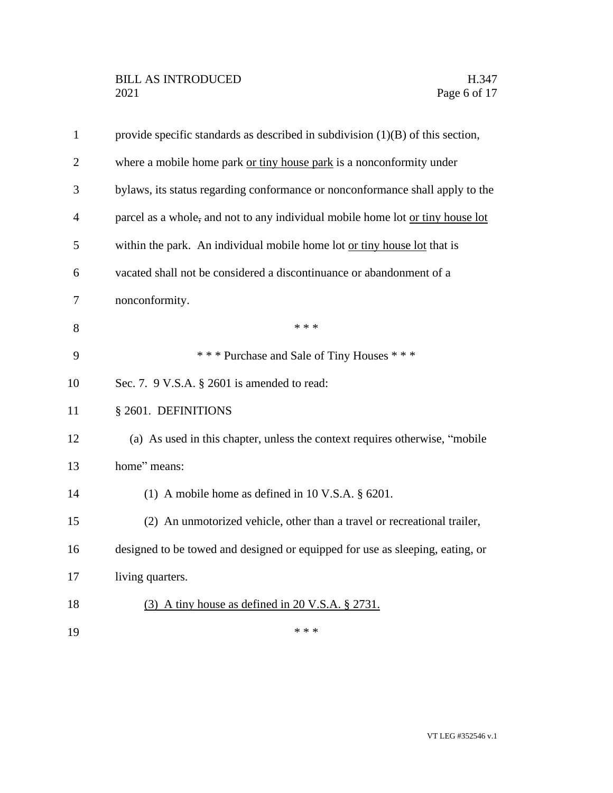| $\mathbf{1}$   | provide specific standards as described in subdivision $(1)(B)$ of this section, |
|----------------|----------------------------------------------------------------------------------|
| $\overline{2}$ | where a mobile home park or tiny house park is a nonconformity under             |
| 3              | bylaws, its status regarding conformance or nonconformance shall apply to the    |
| $\overline{4}$ | parcel as a whole, and not to any individual mobile home lot or tiny house lot   |
| 5              | within the park. An individual mobile home lot or tiny house lot that is         |
| 6              | vacated shall not be considered a discontinuance or abandonment of a             |
| 7              | nonconformity.                                                                   |
| 8              | * * *                                                                            |
| 9              | *** Purchase and Sale of Tiny Houses ***                                         |
| 10             | Sec. 7. 9 V.S.A. § 2601 is amended to read:                                      |
| 11             | § 2601. DEFINITIONS                                                              |
| 12             | (a) As used in this chapter, unless the context requires otherwise, "mobile      |
| 13             | home" means:                                                                     |
| 14             | (1) A mobile home as defined in $10$ V.S.A. $\S$ 6201.                           |
| 15             | (2) An unmotorized vehicle, other than a travel or recreational trailer,         |
| 16             | designed to be towed and designed or equipped for use as sleeping, eating, or    |
| 17             | living quarters.                                                                 |
| 18             | $(3)$ A tiny house as defined in 20 V.S.A. § 2731.                               |
| 19             | * * *                                                                            |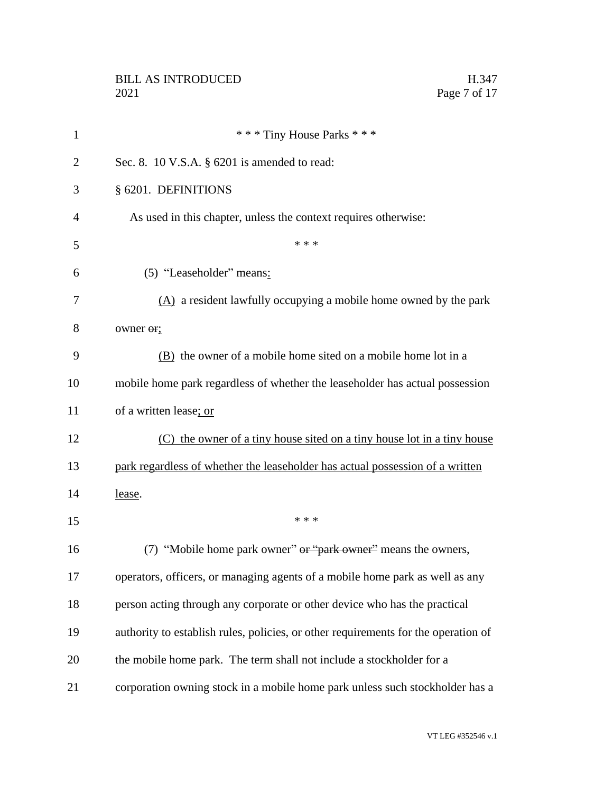| $\mathbf{1}$   | *** Tiny House Parks ***                                                           |
|----------------|------------------------------------------------------------------------------------|
| $\overline{2}$ | Sec. 8. 10 V.S.A. § 6201 is amended to read:                                       |
| 3              | § 6201. DEFINITIONS                                                                |
| 4              | As used in this chapter, unless the context requires otherwise:                    |
| 5              | * * *                                                                              |
| 6              | (5) "Leaseholder" means:                                                           |
| 7              | $(A)$ a resident lawfully occupying a mobile home owned by the park                |
| 8              | owner or;                                                                          |
| 9              | (B) the owner of a mobile home sited on a mobile home lot in a                     |
| 10             | mobile home park regardless of whether the leaseholder has actual possession       |
| 11             | of a written lease; or                                                             |
| 12             | (C) the owner of a tiny house sited on a tiny house lot in a tiny house            |
| 13             | park regardless of whether the leaseholder has actual possession of a written      |
| 14             | lease.                                                                             |
| 15             | * * *                                                                              |
| 16             | (7) "Mobile home park owner" or "park owner" means the owners,                     |
| 17             | operators, officers, or managing agents of a mobile home park as well as any       |
| 18             | person acting through any corporate or other device who has the practical          |
| 19             | authority to establish rules, policies, or other requirements for the operation of |
| 20             | the mobile home park. The term shall not include a stockholder for a               |
| 21             | corporation owning stock in a mobile home park unless such stockholder has a       |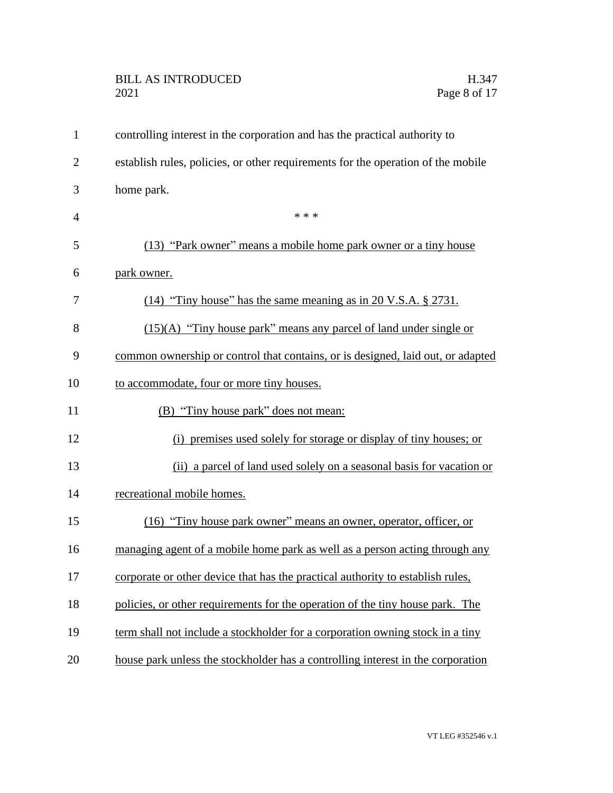## BILL AS INTRODUCED H.347<br>2021 Page 8 of 17

| $\mathbf{1}$   | controlling interest in the corporation and has the practical authority to       |
|----------------|----------------------------------------------------------------------------------|
| $\overline{2}$ | establish rules, policies, or other requirements for the operation of the mobile |
| 3              | home park.                                                                       |
| $\overline{4}$ | * * *                                                                            |
| 5              | (13) "Park owner" means a mobile home park owner or a tiny house                 |
| 6              | park owner.                                                                      |
| 7              | $(14)$ "Tiny house" has the same meaning as in 20 V.S.A. § 2731.                 |
| 8              | $(15)(A)$ "Tiny house park" means any parcel of land under single or             |
| 9              | common ownership or control that contains, or is designed, laid out, or adapted  |
| 10             | to accommodate, four or more tiny houses.                                        |
| 11             | (B) "Tiny house park" does not mean:                                             |
| 12             | (i) premises used solely for storage or display of tiny houses; or               |
| 13             | (ii) a parcel of land used solely on a seasonal basis for vacation or            |
| 14             | recreational mobile homes.                                                       |
| 15             | (16) "Tiny house park owner" means an owner, operator, officer, or               |
| 16             | managing agent of a mobile home park as well as a person acting through any      |
| 17             | corporate or other device that has the practical authority to establish rules,   |
| 18             | policies, or other requirements for the operation of the tiny house park. The    |
| 19             | term shall not include a stockholder for a corporation owning stock in a tiny    |
| 20             | house park unless the stockholder has a controlling interest in the corporation  |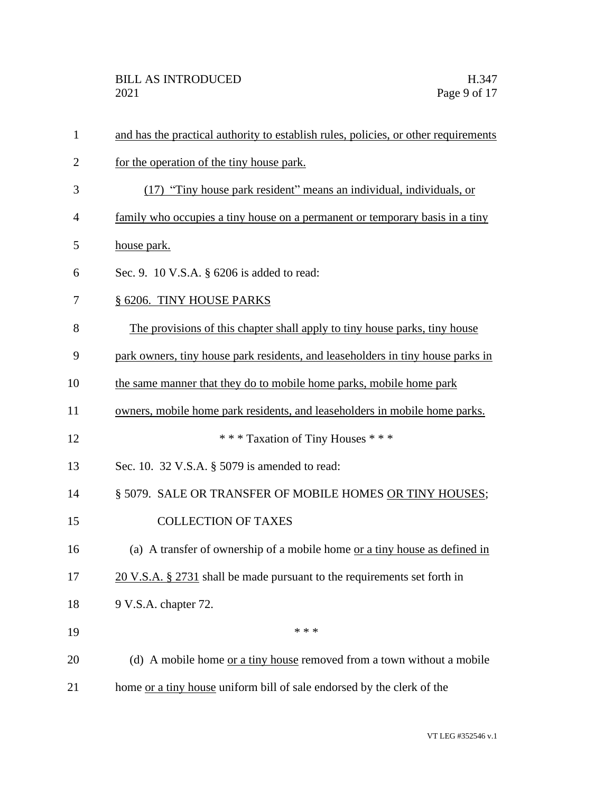| $\mathbf{1}$   | and has the practical authority to establish rules, policies, or other requirements |
|----------------|-------------------------------------------------------------------------------------|
| $\overline{2}$ | for the operation of the tiny house park.                                           |
| 3              | (17) "Tiny house park resident" means an individual, individuals, or                |
| 4              | family who occupies a tiny house on a permanent or temporary basis in a tiny        |
| 5              | house park.                                                                         |
| 6              | Sec. 9. 10 V.S.A. § 6206 is added to read:                                          |
| 7              | § 6206. TINY HOUSE PARKS                                                            |
| 8              | The provisions of this chapter shall apply to tiny house parks, tiny house          |
| 9              | park owners, tiny house park residents, and leaseholders in tiny house parks in     |
| 10             | the same manner that they do to mobile home parks, mobile home park                 |
| 11             | owners, mobile home park residents, and leaseholders in mobile home parks.          |
| 12             | *** Taxation of Tiny Houses ***                                                     |
| 13             | Sec. 10. 32 V.S.A. § 5079 is amended to read:                                       |
| 14             | § 5079. SALE OR TRANSFER OF MOBILE HOMES OR TINY HOUSES;                            |
| 15             | <b>COLLECTION OF TAXES</b>                                                          |
| 16             | (a) A transfer of ownership of a mobile home <u>or a tiny house as defined in</u>   |
| 17             | $20$ V.S.A. § 2731 shall be made pursuant to the requirements set forth in          |
| 18             | 9 V.S.A. chapter 72.                                                                |
| 19             | * * *                                                                               |
| 20             | (d) A mobile home or a tiny house removed from a town without a mobile              |
| 21             | home or a tiny house uniform bill of sale endorsed by the clerk of the              |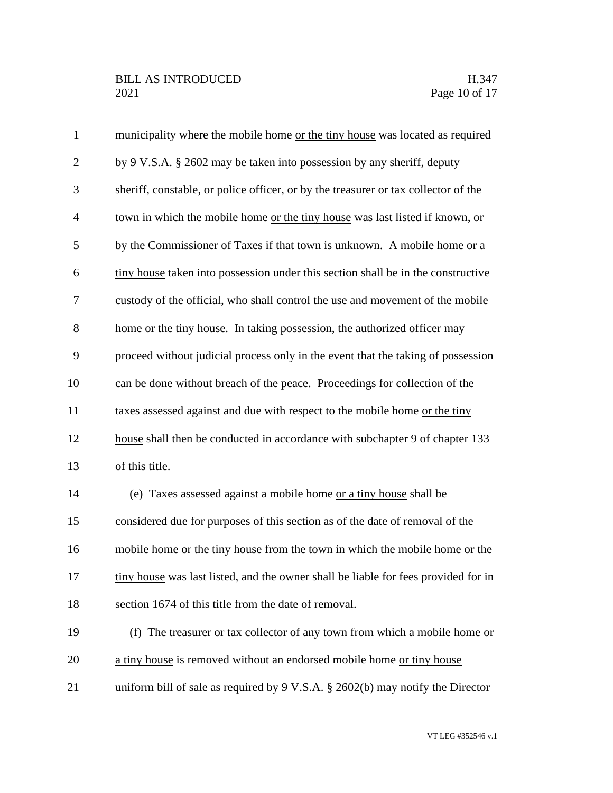| $\mathbf{1}$   | municipality where the mobile home or the tiny house was located as required               |
|----------------|--------------------------------------------------------------------------------------------|
| $\overline{2}$ | by 9 V.S.A. § 2602 may be taken into possession by any sheriff, deputy                     |
| 3              | sheriff, constable, or police officer, or by the treasurer or tax collector of the         |
| $\overline{4}$ | town in which the mobile home or the tiny house was last listed if known, or               |
| 5              | by the Commissioner of Taxes if that town is unknown. A mobile home or a                   |
| 6              | tiny house taken into possession under this section shall be in the constructive           |
| $\tau$         | custody of the official, who shall control the use and movement of the mobile              |
| 8              | home or the tiny house. In taking possession, the authorized officer may                   |
| 9              | proceed without judicial process only in the event that the taking of possession           |
| 10             | can be done without breach of the peace. Proceedings for collection of the                 |
| 11             | taxes assessed against and due with respect to the mobile home or the tiny                 |
| 12             | house shall then be conducted in accordance with subchapter 9 of chapter 133               |
| 13             | of this title.                                                                             |
| 14             | (e) Taxes assessed against a mobile home or a tiny house shall be                          |
| 15             | considered due for purposes of this section as of the date of removal of the               |
| 16             | mobile home or the tiny house from the town in which the mobile home or the                |
| 17             | tiny house was last listed, and the owner shall be liable for fees provided for in         |
| 18             | section 1674 of this title from the date of removal.                                       |
| 19             | (f) The treasurer or tax collector of any town from which a mobile home $or$               |
| 20             | a tiny house is removed without an endorsed mobile home or tiny house                      |
| 21             | uniform bill of sale as required by $9 \text{ V.S.A. }$ \$ 2602(b) may notify the Director |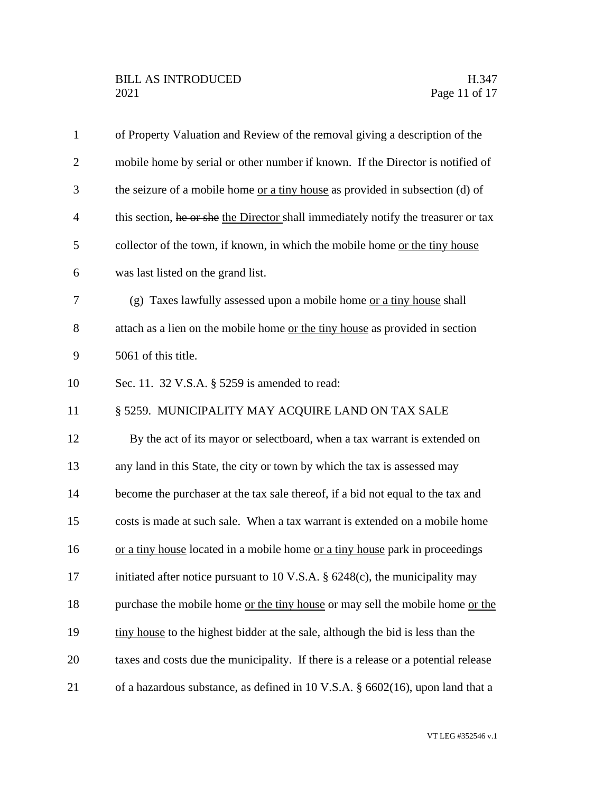| $\mathbf{1}$   | of Property Valuation and Review of the removal giving a description of the        |
|----------------|------------------------------------------------------------------------------------|
| $\overline{2}$ | mobile home by serial or other number if known. If the Director is notified of     |
| 3              | the seizure of a mobile home or a tiny house as provided in subsection (d) of      |
| $\overline{4}$ | this section, he or she the Director shall immediately notify the treasurer or tax |
| 5              | collector of the town, if known, in which the mobile home or the tiny house        |
| 6              | was last listed on the grand list.                                                 |
| 7              | (g) Taxes lawfully assessed upon a mobile home or a tiny house shall               |
| 8              | attach as a lien on the mobile home or the tiny house as provided in section       |
| 9              | 5061 of this title.                                                                |
| 10             | Sec. 11. 32 V.S.A. § 5259 is amended to read:                                      |
| 11             | § 5259. MUNICIPALITY MAY ACQUIRE LAND ON TAX SALE                                  |
| 12             | By the act of its mayor or selectboard, when a tax warrant is extended on          |
| 13             | any land in this State, the city or town by which the tax is assessed may          |
| 14             | become the purchaser at the tax sale thereof, if a bid not equal to the tax and    |
| 15             | costs is made at such sale. When a tax warrant is extended on a mobile home        |
| 16             | or a tiny house located in a mobile home or a tiny house park in proceedings       |
| 17             | initiated after notice pursuant to 10 V.S.A. $\S$ 6248(c), the municipality may    |
| 18             | purchase the mobile home or the tiny house or may sell the mobile home or the      |
| 19             | tiny house to the highest bidder at the sale, although the bid is less than the    |
| 20             | taxes and costs due the municipality. If there is a release or a potential release |
| 21             | of a hazardous substance, as defined in 10 V.S.A. § 6602(16), upon land that a     |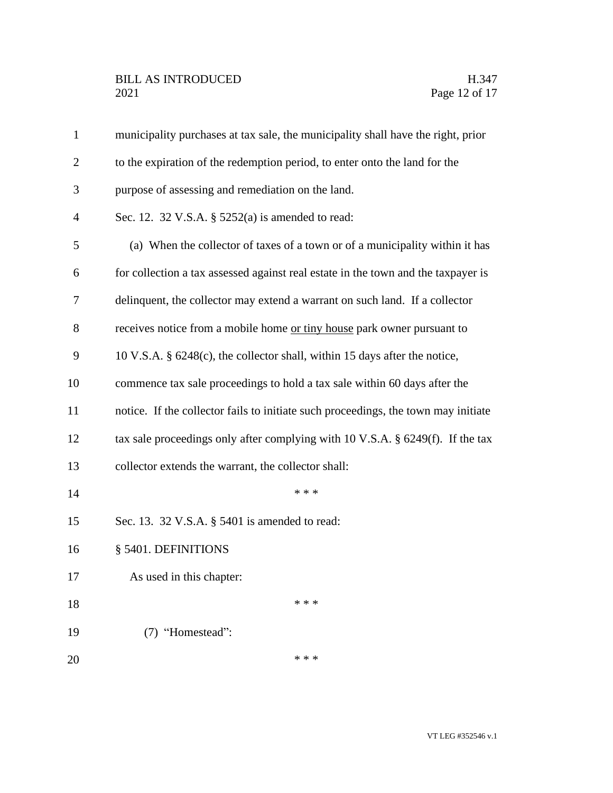| $\mathbf{1}$   | municipality purchases at tax sale, the municipality shall have the right, prior   |
|----------------|------------------------------------------------------------------------------------|
| $\overline{2}$ | to the expiration of the redemption period, to enter onto the land for the         |
| 3              | purpose of assessing and remediation on the land.                                  |
| $\overline{4}$ | Sec. 12. 32 V.S.A. § 5252(a) is amended to read:                                   |
| 5              | (a) When the collector of taxes of a town or of a municipality within it has       |
| 6              | for collection a tax assessed against real estate in the town and the taxpayer is  |
| 7              | delinquent, the collector may extend a warrant on such land. If a collector        |
| 8              | receives notice from a mobile home or tiny house park owner pursuant to            |
| 9              | 10 V.S.A. § 6248(c), the collector shall, within 15 days after the notice,         |
| 10             | commence tax sale proceedings to hold a tax sale within 60 days after the          |
| 11             | notice. If the collector fails to initiate such proceedings, the town may initiate |
| 12             | tax sale proceedings only after complying with 10 V.S.A. $\S$ 6249(f). If the tax  |
| 13             | collector extends the warrant, the collector shall:                                |
| 14             | * * *                                                                              |
| 15             | Sec. 13. 32 V.S.A. § 5401 is amended to read:                                      |
| 16             | § 5401. DEFINITIONS                                                                |
| 17             | As used in this chapter:                                                           |
| 18             | * * *                                                                              |
| 19             | (7) "Homestead":                                                                   |
| 20             | * * *                                                                              |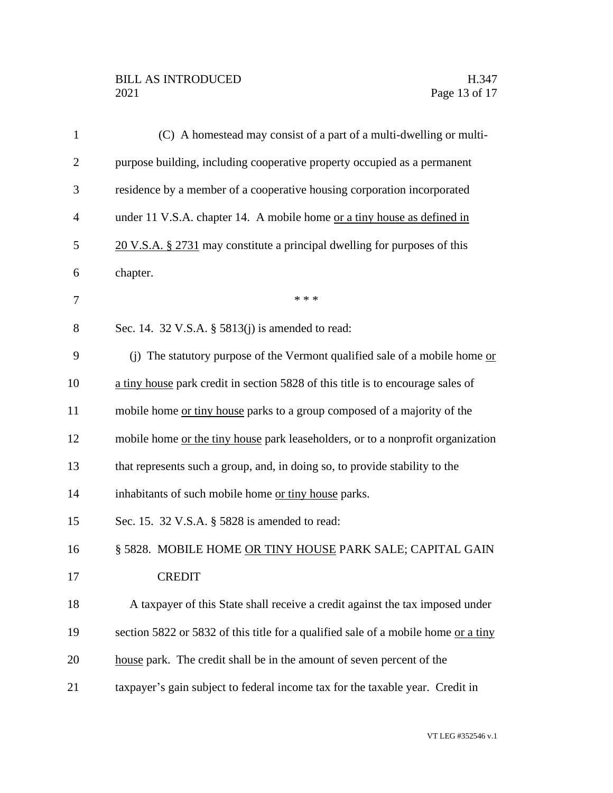## BILL AS INTRODUCED H.347<br>2021 Page 13 of 17

| $\mathbf{1}$   | (C) A homestead may consist of a part of a multi-dwelling or multi-                |
|----------------|------------------------------------------------------------------------------------|
| $\overline{2}$ | purpose building, including cooperative property occupied as a permanent           |
| 3              | residence by a member of a cooperative housing corporation incorporated            |
| $\overline{4}$ | under 11 V.S.A. chapter 14. A mobile home or a tiny house as defined in            |
| 5              | 20 V.S.A. § 2731 may constitute a principal dwelling for purposes of this          |
| 6              | chapter.                                                                           |
| 7              | * * *                                                                              |
| 8              | Sec. 14. 32 V.S.A. § 5813(j) is amended to read:                                   |
| 9              | (j) The statutory purpose of the Vermont qualified sale of a mobile home or        |
| 10             | a tiny house park credit in section 5828 of this title is to encourage sales of    |
| 11             | mobile home <u>or tiny house</u> parks to a group composed of a majority of the    |
| 12             | mobile home or the tiny house park leaseholders, or to a nonprofit organization    |
| 13             | that represents such a group, and, in doing so, to provide stability to the        |
| 14             | inhabitants of such mobile home or tiny house parks.                               |
| 15             | Sec. 15. 32 V.S.A. § 5828 is amended to read:                                      |
| 16             | § 5828. MOBILE HOME OR TINY HOUSE PARK SALE; CAPITAL GAIN                          |
| 17             | <b>CREDIT</b>                                                                      |
| 18             | A taxpayer of this State shall receive a credit against the tax imposed under      |
| 19             | section 5822 or 5832 of this title for a qualified sale of a mobile home or a tiny |
| 20             | house park. The credit shall be in the amount of seven percent of the              |
| 21             | taxpayer's gain subject to federal income tax for the taxable year. Credit in      |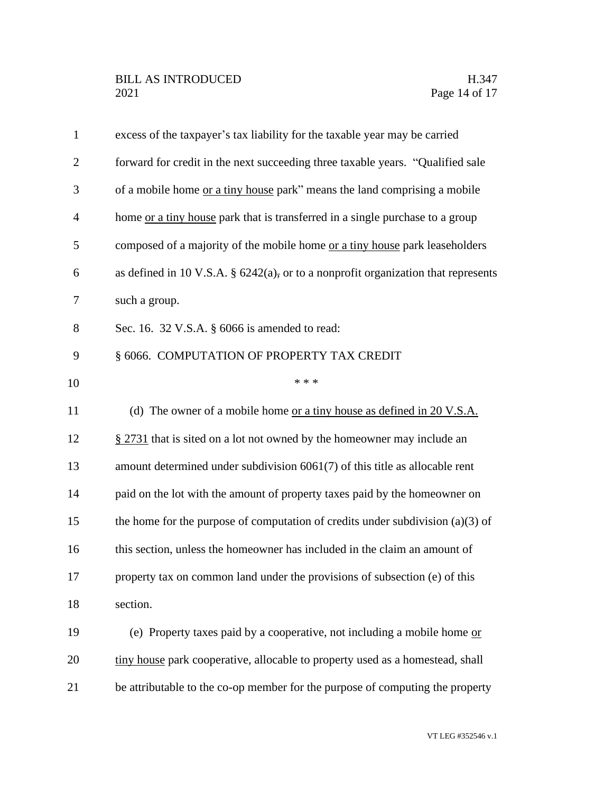| $\mathbf{1}$   | excess of the taxpayer's tax liability for the taxable year may be carried           |
|----------------|--------------------------------------------------------------------------------------|
| $\overline{2}$ | forward for credit in the next succeeding three taxable years. "Qualified sale       |
| 3              | of a mobile home <u>or a tiny house</u> park" means the land comprising a mobile     |
| $\overline{4}$ | home <u>or a tiny house</u> park that is transferred in a single purchase to a group |
| 5              | composed of a majority of the mobile home or a tiny house park leaseholders          |
| 6              | as defined in 10 V.S.A. $\S$ 6242(a), or to a nonprofit organization that represents |
| 7              | such a group.                                                                        |
| 8              | Sec. 16. 32 V.S.A. § 6066 is amended to read:                                        |
| 9              | § 6066. COMPUTATION OF PROPERTY TAX CREDIT                                           |
| 10             | * * *                                                                                |
| 11             | (d) The owner of a mobile home <u>or a tiny house as defined in 20 V.S.A.</u>        |
| 12             | $\S 2731$ that is sited on a lot not owned by the homeowner may include an           |
| 13             | amount determined under subdivision $6061(7)$ of this title as allocable rent        |
| 14             | paid on the lot with the amount of property taxes paid by the homeowner on           |
| 15             | the home for the purpose of computation of credits under subdivision $(a)(3)$ of     |
| 16             | this section, unless the homeowner has included in the claim an amount of            |
| 17             | property tax on common land under the provisions of subsection (e) of this           |
| 18             | section.                                                                             |
| 19             | (e) Property taxes paid by a cooperative, not including a mobile home or             |
| 20             | tiny house park cooperative, allocable to property used as a homestead, shall        |
| 21             | be attributable to the co-op member for the purpose of computing the property        |

VT LEG #352546 v.1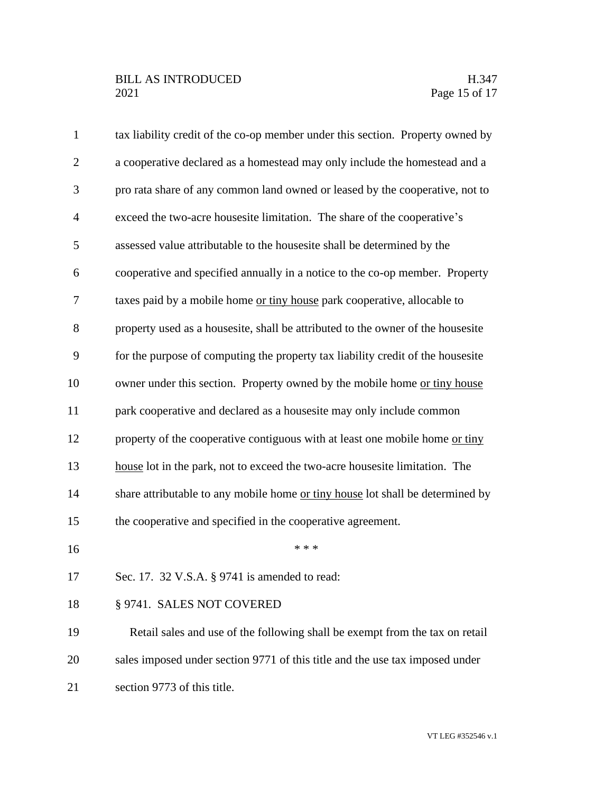| $\mathbf{1}$   | tax liability credit of the co-op member under this section. Property owned by  |
|----------------|---------------------------------------------------------------------------------|
| $\overline{2}$ | a cooperative declared as a homestead may only include the homestead and a      |
| 3              | pro rata share of any common land owned or leased by the cooperative, not to    |
| $\overline{4}$ | exceed the two-acre housesite limitation. The share of the cooperative's        |
| 5              | assessed value attributable to the housesite shall be determined by the         |
| 6              | cooperative and specified annually in a notice to the co-op member. Property    |
| 7              | taxes paid by a mobile home or tiny house park cooperative, allocable to        |
| 8              | property used as a housesite, shall be attributed to the owner of the housesite |
| 9              | for the purpose of computing the property tax liability credit of the housesite |
| 10             | owner under this section. Property owned by the mobile home or tiny house       |
| 11             | park cooperative and declared as a housesite may only include common            |
| 12             | property of the cooperative contiguous with at least one mobile home or tiny    |
| 13             | house lot in the park, not to exceed the two-acre housesite limitation. The     |
| 14             | share attributable to any mobile home or tiny house lot shall be determined by  |
| 15             | the cooperative and specified in the cooperative agreement.                     |
| 16             | * * *                                                                           |
| 17             | Sec. 17. 32 V.S.A. § 9741 is amended to read:                                   |
| 18             | § 9741. SALES NOT COVERED                                                       |
| 19             | Retail sales and use of the following shall be exempt from the tax on retail    |
| 20             | sales imposed under section 9771 of this title and the use tax imposed under    |
| 21             | section 9773 of this title.                                                     |
|                |                                                                                 |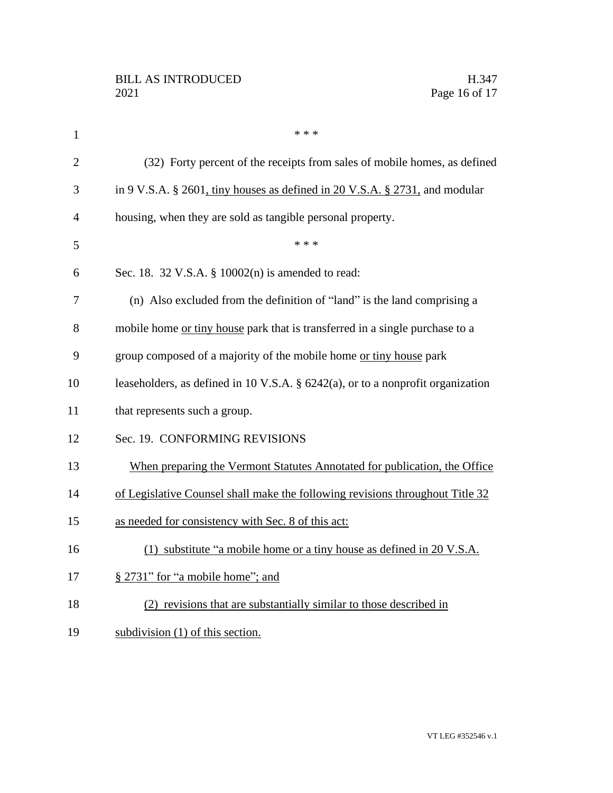| $\mathbf{1}$   | * * *                                                                              |
|----------------|------------------------------------------------------------------------------------|
| $\overline{2}$ | (32) Forty percent of the receipts from sales of mobile homes, as defined          |
| 3              | in 9 V.S.A. § 2601, tiny houses as defined in 20 V.S.A. § 2731, and modular        |
| $\overline{4}$ | housing, when they are sold as tangible personal property.                         |
| 5              | * * *                                                                              |
| 6              | Sec. 18. 32 V.S.A. § 10002(n) is amended to read:                                  |
| 7              | (n) Also excluded from the definition of "land" is the land comprising a           |
| 8              | mobile home or tiny house park that is transferred in a single purchase to a       |
| 9              | group composed of a majority of the mobile home or tiny house park                 |
| 10             | leaseholders, as defined in 10 V.S.A. $\S$ 6242(a), or to a nonprofit organization |
| 11             | that represents such a group.                                                      |
| 12             | Sec. 19. CONFORMING REVISIONS                                                      |
| 13             | When preparing the Vermont Statutes Annotated for publication, the Office          |
| 14             | of Legislative Counsel shall make the following revisions throughout Title 32      |
| 15             | as needed for consistency with Sec. 8 of this act:                                 |
| 16             | (1) substitute "a mobile home or a tiny house as defined in 20 V.S.A.              |
| 17             | § 2731" for "a mobile home"; and                                                   |
| 18             | (2) revisions that are substantially similar to those described in                 |
| 19             | subdivision $(1)$ of this section.                                                 |